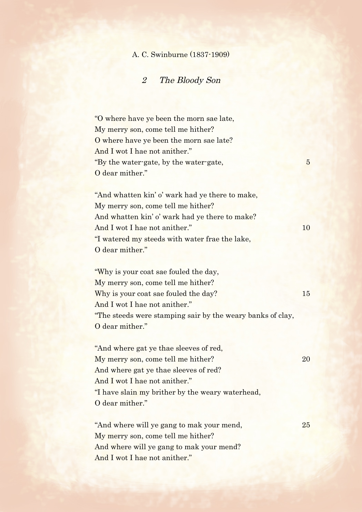## A. C. Swinburne (1837-1909)

## 2 The Bloody Son

"O where have ye been the morn sae late, My merry son, come tell me hither? O where have ye been the morn sae late? And I wot I hae not anither." "By the water-gate, by the water-gate,  $5<sub>5</sub>$ O dear mither."

"And whatten kin' o' wark had ye there to make, My merry son, come tell me hither? And whatten kin' o' wark had ye there to make? And I wot I hae not anither." 10 "I watered my steeds with water frae the lake, O dear mither."

"Why is your coat sae fouled the day, My merry son, come tell me hither? Why is your coat sae fouled the day? And I wot I hae not anither." "The steeds were stamping sair by the weary banks of clay, O dear mither."

"And where gat ye thae sleeves of red, My merry son, come tell me hither? 20 And where gat ye thae sleeves of red? And I wot I hae not anither." "I have slain my brither by the weary waterhead, O dear mither."

"And where will ye gang to mak your mend, 25 My merry son, come tell me hither? And where will ye gang to mak your mend? And I wot I hae not anither."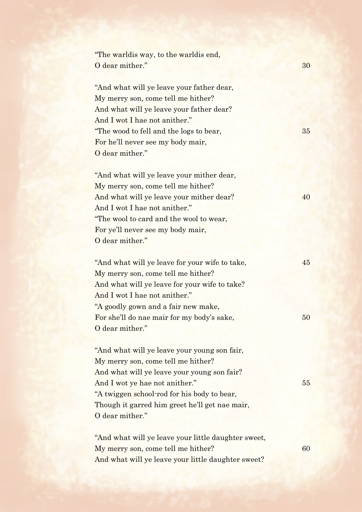| "The warldis way, to the warldis end,              |                                                                                                                                                                                                                                                                                                                                                                                                                                                                                                                                       |
|----------------------------------------------------|---------------------------------------------------------------------------------------------------------------------------------------------------------------------------------------------------------------------------------------------------------------------------------------------------------------------------------------------------------------------------------------------------------------------------------------------------------------------------------------------------------------------------------------|
| O dear mither."                                    | 30                                                                                                                                                                                                                                                                                                                                                                                                                                                                                                                                    |
|                                                    |                                                                                                                                                                                                                                                                                                                                                                                                                                                                                                                                       |
| "And what will ye leave your father dear,          |                                                                                                                                                                                                                                                                                                                                                                                                                                                                                                                                       |
| My merry son, come tell me hither?                 |                                                                                                                                                                                                                                                                                                                                                                                                                                                                                                                                       |
| And what will ye leave your father dear?           |                                                                                                                                                                                                                                                                                                                                                                                                                                                                                                                                       |
| And I wot I hae not anither."                      |                                                                                                                                                                                                                                                                                                                                                                                                                                                                                                                                       |
| "The wood to fell and the logs to bear,            | 35                                                                                                                                                                                                                                                                                                                                                                                                                                                                                                                                    |
|                                                    |                                                                                                                                                                                                                                                                                                                                                                                                                                                                                                                                       |
|                                                    |                                                                                                                                                                                                                                                                                                                                                                                                                                                                                                                                       |
|                                                    |                                                                                                                                                                                                                                                                                                                                                                                                                                                                                                                                       |
|                                                    |                                                                                                                                                                                                                                                                                                                                                                                                                                                                                                                                       |
| My merry son, come tell me hither?                 |                                                                                                                                                                                                                                                                                                                                                                                                                                                                                                                                       |
|                                                    | 40                                                                                                                                                                                                                                                                                                                                                                                                                                                                                                                                    |
| And I wot I hae not anither."                      |                                                                                                                                                                                                                                                                                                                                                                                                                                                                                                                                       |
| "The wool to card and the wool to wear,            |                                                                                                                                                                                                                                                                                                                                                                                                                                                                                                                                       |
| For ye'll never see my body mair,                  |                                                                                                                                                                                                                                                                                                                                                                                                                                                                                                                                       |
| O dear mither."                                    |                                                                                                                                                                                                                                                                                                                                                                                                                                                                                                                                       |
|                                                    |                                                                                                                                                                                                                                                                                                                                                                                                                                                                                                                                       |
| "And what will ye leave for your wife to take,     | 45                                                                                                                                                                                                                                                                                                                                                                                                                                                                                                                                    |
| My merry son, come tell me hither?                 |                                                                                                                                                                                                                                                                                                                                                                                                                                                                                                                                       |
| And what will ye leave for your wife to take?      |                                                                                                                                                                                                                                                                                                                                                                                                                                                                                                                                       |
| And I wot I hae not anither."                      |                                                                                                                                                                                                                                                                                                                                                                                                                                                                                                                                       |
| "A goodly gown and a fair new make,                |                                                                                                                                                                                                                                                                                                                                                                                                                                                                                                                                       |
| For she'll do nae mair for my body's sake,         | $50\,$                                                                                                                                                                                                                                                                                                                                                                                                                                                                                                                                |
| O dear mither."                                    |                                                                                                                                                                                                                                                                                                                                                                                                                                                                                                                                       |
|                                                    |                                                                                                                                                                                                                                                                                                                                                                                                                                                                                                                                       |
|                                                    |                                                                                                                                                                                                                                                                                                                                                                                                                                                                                                                                       |
|                                                    |                                                                                                                                                                                                                                                                                                                                                                                                                                                                                                                                       |
|                                                    |                                                                                                                                                                                                                                                                                                                                                                                                                                                                                                                                       |
|                                                    | 55                                                                                                                                                                                                                                                                                                                                                                                                                                                                                                                                    |
|                                                    |                                                                                                                                                                                                                                                                                                                                                                                                                                                                                                                                       |
|                                                    |                                                                                                                                                                                                                                                                                                                                                                                                                                                                                                                                       |
|                                                    |                                                                                                                                                                                                                                                                                                                                                                                                                                                                                                                                       |
|                                                    |                                                                                                                                                                                                                                                                                                                                                                                                                                                                                                                                       |
|                                                    |                                                                                                                                                                                                                                                                                                                                                                                                                                                                                                                                       |
|                                                    | 60                                                                                                                                                                                                                                                                                                                                                                                                                                                                                                                                    |
| And what will ye leave your little daughter sweet? |                                                                                                                                                                                                                                                                                                                                                                                                                                                                                                                                       |
|                                                    | For he'll never see my body mair,<br>O dear mither."<br>"And what will ye leave your mither dear,<br>And what will ye leave your mither dear?<br>"And what will ye leave your young son fair,<br>My merry son, come tell me hither?<br>And what will ye leave your young son fair?<br>And I wot ye hae not anither."<br>"A twiggen school-rod for his body to bear,<br>Though it garred him greet he'll get nae mair,<br>O dear mither."<br>"And what will ye leave your little daughter sweet,<br>My merry son, come tell me hither? |